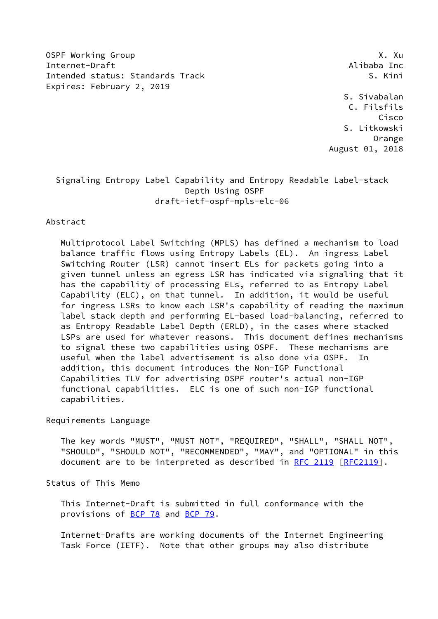OSPF Working Group **X. Authority Contract Contract Contract Contract Contract Contract Contract Contract Contract Contract Contract Contract Contract Contract Contract Contract Contract Contract Contract Contract Contract** Internet-Draft Alibaba Inc Intended status: Standards Track S. Kini Expires: February 2, 2019

 S. Sivabalan C. Filsfils Cisco S. Litkowski Orange August 01, 2018

## Signaling Entropy Label Capability and Entropy Readable Label-stack Depth Using OSPF draft-ietf-ospf-mpls-elc-06

## Abstract

 Multiprotocol Label Switching (MPLS) has defined a mechanism to load balance traffic flows using Entropy Labels (EL). An ingress Label Switching Router (LSR) cannot insert ELs for packets going into a given tunnel unless an egress LSR has indicated via signaling that it has the capability of processing ELs, referred to as Entropy Label Capability (ELC), on that tunnel. In addition, it would be useful for ingress LSRs to know each LSR's capability of reading the maximum label stack depth and performing EL-based load-balancing, referred to as Entropy Readable Label Depth (ERLD), in the cases where stacked LSPs are used for whatever reasons. This document defines mechanisms to signal these two capabilities using OSPF. These mechanisms are useful when the label advertisement is also done via OSPF. In addition, this document introduces the Non-IGP Functional Capabilities TLV for advertising OSPF router's actual non-IGP functional capabilities. ELC is one of such non-IGP functional capabilities.

Requirements Language

 The key words "MUST", "MUST NOT", "REQUIRED", "SHALL", "SHALL NOT", "SHOULD", "SHOULD NOT", "RECOMMENDED", "MAY", and "OPTIONAL" in this document are to be interpreted as described in [RFC 2119 \[RFC2119](https://datatracker.ietf.org/doc/pdf/rfc2119)].

Status of This Memo

 This Internet-Draft is submitted in full conformance with the provisions of [BCP 78](https://datatracker.ietf.org/doc/pdf/bcp78) and [BCP 79](https://datatracker.ietf.org/doc/pdf/bcp79).

 Internet-Drafts are working documents of the Internet Engineering Task Force (IETF). Note that other groups may also distribute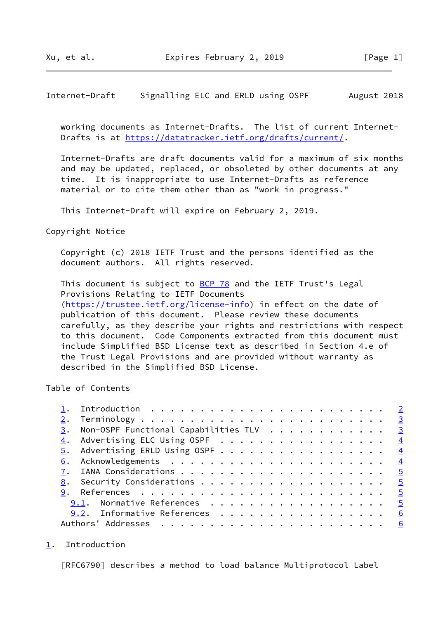## <span id="page-1-1"></span>Internet-Draft Signalling ELC and ERLD using OSPF August 2018

 working documents as Internet-Drafts. The list of current Internet- Drafts is at<https://datatracker.ietf.org/drafts/current/>.

 Internet-Drafts are draft documents valid for a maximum of six months and may be updated, replaced, or obsoleted by other documents at any time. It is inappropriate to use Internet-Drafts as reference material or to cite them other than as "work in progress."

This Internet-Draft will expire on February 2, 2019.

## Copyright Notice

 Copyright (c) 2018 IETF Trust and the persons identified as the document authors. All rights reserved.

This document is subject to **[BCP 78](https://datatracker.ietf.org/doc/pdf/bcp78)** and the IETF Trust's Legal Provisions Relating to IETF Documents [\(https://trustee.ietf.org/license-info](https://trustee.ietf.org/license-info)) in effect on the date of publication of this document. Please review these documents carefully, as they describe your rights and restrictions with respect to this document. Code Components extracted from this document must include Simplified BSD License text as described in Section 4.e of the Trust Legal Provisions and are provided without warranty as described in the Simplified BSD License.

Table of Contents

| $\overline{\mathbf{3}}$                                |   |
|--------------------------------------------------------|---|
| $\frac{3}{2}$ . Non-OSPF Functional Capabilities TLV 3 |   |
| 4. Advertising ELC Using OSPF 4                        |   |
| $\underline{5}$ . Advertising ERLD Using OSPF 4        |   |
|                                                        |   |
| $\overline{5}$                                         |   |
|                                                        |   |
|                                                        |   |
| 9.1. Normative References 5                            |   |
| 9.2. Informative References                            | 6 |
|                                                        |   |

<span id="page-1-0"></span>[1](#page-1-0). Introduction

[RFC6790] describes a method to load balance Multiprotocol Label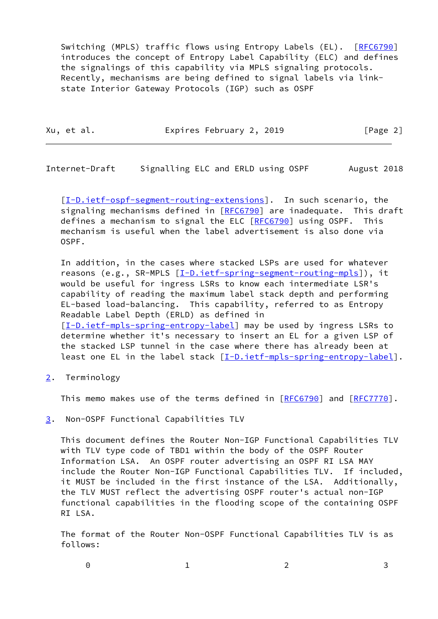Switching (MPLS) traffic flows using Entropy Labels (EL). [[RFC6790\]](https://datatracker.ietf.org/doc/pdf/rfc6790) introduces the concept of Entropy Label Capability (ELC) and defines the signalings of this capability via MPLS signaling protocols. Recently, mechanisms are being defined to signal labels via link state Interior Gateway Protocols (IGP) such as OSPF

| Xu, et al. | Expires February 2, 2019 | [Page 2] |
|------------|--------------------------|----------|
|            |                          |          |

<span id="page-2-1"></span>Internet-Draft Signalling ELC and ERLD using OSPF August 2018

[\[I-D.ietf-ospf-segment-routing-extensions](#page-5-2)]. In such scenario, the signaling mechanisms defined in [\[RFC6790](https://datatracker.ietf.org/doc/pdf/rfc6790)] are inadequate. This draft defines a mechanism to signal the ELC [[RFC6790](https://datatracker.ietf.org/doc/pdf/rfc6790)] using OSPF. This mechanism is useful when the label advertisement is also done via OSPF.

 In addition, in the cases where stacked LSPs are used for whatever reasons (e.g., SR-MPLS [\[I-D.ietf-spring-segment-routing-mpls](#page-5-3)]), it would be useful for ingress LSRs to know each intermediate LSR's capability of reading the maximum label stack depth and performing EL-based load-balancing. This capability, referred to as Entropy Readable Label Depth (ERLD) as defined in [\[I-D.ietf-mpls-spring-entropy-label\]](#page-5-4) may be used by ingress LSRs to determine whether it's necessary to insert an EL for a given LSP of the stacked LSP tunnel in the case where there has already been at least one EL in the label stack [\[I-D.ietf-mpls-spring-entropy-label\]](#page-5-4).

<span id="page-2-0"></span>[2](#page-2-0). Terminology

This memo makes use of the terms defined in [\[RFC6790](https://datatracker.ietf.org/doc/pdf/rfc6790)] and [[RFC7770](https://datatracker.ietf.org/doc/pdf/rfc7770)].

<span id="page-2-2"></span>[3](#page-2-2). Non-OSPF Functional Capabilities TLV

 This document defines the Router Non-IGP Functional Capabilities TLV with TLV type code of TBD1 within the body of the OSPF Router Information LSA. An OSPF router advertising an OSPF RI LSA MAY include the Router Non-IGP Functional Capabilities TLV. If included, it MUST be included in the first instance of the LSA. Additionally, the TLV MUST reflect the advertising OSPF router's actual non-IGP functional capabilities in the flooding scope of the containing OSPF RI LSA.

 The format of the Router Non-OSPF Functional Capabilities TLV is as follows: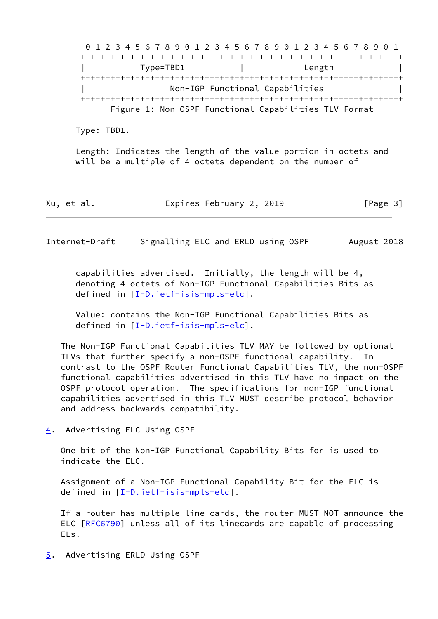0 1 2 3 4 5 6 7 8 9 0 1 2 3 4 5 6 7 8 9 0 1 2 3 4 5 6 7 8 9 0 1 +-+-+-+-+-+-+-+-+-+-+-+-+-+-+-+-+-+-+-+-+-+-+-+-+-+-+-+-+-+-+-+-+ | Type=TBD1 | Length | +-+-+-+-+-+-+-+-+-+-+-+-+-+-+-+-+-+-+-+-+-+-+-+-+-+-+-+-+-+-+-+-+ | Non-IGP Functional Capabilities | +-+-+-+-+-+-+-+-+-+-+-+-+-+-+-+-+-+-+-+-+-+-+-+-+-+-+-+-+-+-+-+-+ Figure 1: Non-OSPF Functional Capabilities TLV Format

Type: TBD1.

 Length: Indicates the length of the value portion in octets and will be a multiple of 4 octets dependent on the number of

Xu, et al. Expires February 2, 2019 [Page 3]

<span id="page-3-1"></span>Internet-Draft Signalling ELC and ERLD using OSPF August 2018

 capabilities advertised. Initially, the length will be 4, denoting 4 octets of Non-IGP Functional Capabilities Bits as defined in [[I-D.ietf-isis-mpls-elc](#page-4-6)].

 Value: contains the Non-IGP Functional Capabilities Bits as defined in [[I-D.ietf-isis-mpls-elc](#page-4-6)].

 The Non-IGP Functional Capabilities TLV MAY be followed by optional TLVs that further specify a non-OSPF functional capability. In contrast to the OSPF Router Functional Capabilities TLV, the non-OSPF functional capabilities advertised in this TLV have no impact on the OSPF protocol operation. The specifications for non-IGP functional capabilities advertised in this TLV MUST describe protocol behavior and address backwards compatibility.

<span id="page-3-0"></span>[4](#page-3-0). Advertising ELC Using OSPF

 One bit of the Non-IGP Functional Capability Bits for is used to indicate the ELC.

 Assignment of a Non-IGP Functional Capability Bit for the ELC is defined in [[I-D.ietf-isis-mpls-elc](#page-4-6)].

 If a router has multiple line cards, the router MUST NOT announce the ELC [\[RFC6790](https://datatracker.ietf.org/doc/pdf/rfc6790)] unless all of its linecards are capable of processing ELs.

<span id="page-3-2"></span>[5](#page-3-2). Advertising ERLD Using OSPF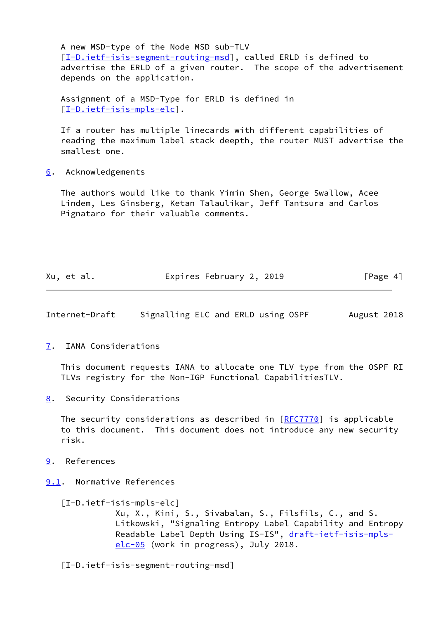A new MSD-type of the Node MSD sub-TLV [\[I-D.ietf-isis-segment-routing-msd](#page-4-7)], called ERLD is defined to advertise the ERLD of a given router. The scope of the advertisement depends on the application.

 Assignment of a MSD-Type for ERLD is defined in [\[I-D.ietf-isis-mpls-elc](#page-4-6)].

 If a router has multiple linecards with different capabilities of reading the maximum label stack deepth, the router MUST advertise the smallest one.

<span id="page-4-0"></span>[6](#page-4-0). Acknowledgements

 The authors would like to thank Yimin Shen, George Swallow, Acee Lindem, Les Ginsberg, Ketan Talaulikar, Jeff Tantsura and Carlos Pignataro for their valuable comments.

| Xu, et al. | Expires February 2, 2019 | [Page 4] |
|------------|--------------------------|----------|
|            |                          |          |

<span id="page-4-2"></span>Internet-Draft Signalling ELC and ERLD using OSPF August 2018

<span id="page-4-1"></span>[7](#page-4-1). IANA Considerations

 This document requests IANA to allocate one TLV type from the OSPF RI TLVs registry for the Non-IGP Functional CapabilitiesTLV.

<span id="page-4-3"></span>[8](#page-4-3). Security Considerations

The security considerations as described in [\[RFC7770](https://datatracker.ietf.org/doc/pdf/rfc7770)] is applicable to this document. This document does not introduce any new security risk.

- <span id="page-4-4"></span>[9](#page-4-4). References
- <span id="page-4-5"></span>[9.1](#page-4-5). Normative References

<span id="page-4-6"></span> [I-D.ietf-isis-mpls-elc] Xu, X., Kini, S., Sivabalan, S., Filsfils, C., and S. Litkowski, "Signaling Entropy Label Capability and Entropy Readable Label Depth Using IS-IS", [draft-ietf-isis-mpls](https://datatracker.ietf.org/doc/pdf/draft-ietf-isis-mpls-elc-05) [elc-05](https://datatracker.ietf.org/doc/pdf/draft-ietf-isis-mpls-elc-05) (work in progress), July 2018.

<span id="page-4-7"></span>[I-D.ietf-isis-segment-routing-msd]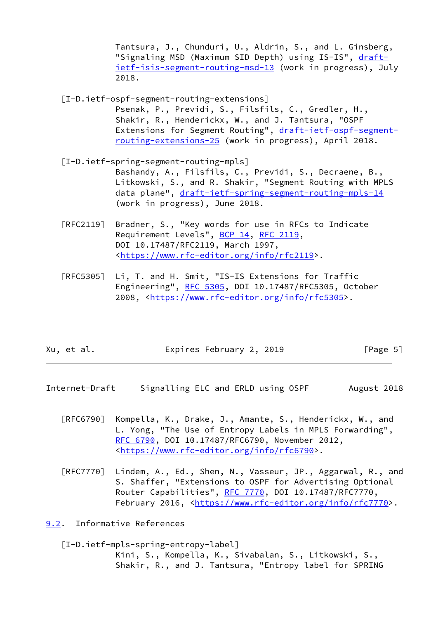Tantsura, J., Chunduri, U., Aldrin, S., and L. Ginsberg, "Signaling MSD (Maximum SID Depth) using IS-IS", [draft](https://datatracker.ietf.org/doc/pdf/draft-ietf-isis-segment-routing-msd-13) [ietf-isis-segment-routing-msd-13](https://datatracker.ietf.org/doc/pdf/draft-ietf-isis-segment-routing-msd-13) (work in progress), July 2018.

- <span id="page-5-2"></span> [I-D.ietf-ospf-segment-routing-extensions] Psenak, P., Previdi, S., Filsfils, C., Gredler, H., Shakir, R., Henderickx, W., and J. Tantsura, "OSPF Extensions for Segment Routing", [draft-ietf-ospf-segment](https://datatracker.ietf.org/doc/pdf/draft-ietf-ospf-segment-routing-extensions-25) [routing-extensions-25](https://datatracker.ietf.org/doc/pdf/draft-ietf-ospf-segment-routing-extensions-25) (work in progress), April 2018.
- <span id="page-5-3"></span> [I-D.ietf-spring-segment-routing-mpls] Bashandy, A., Filsfils, C., Previdi, S., Decraene, B., Litkowski, S., and R. Shakir, "Segment Routing with MPLS data plane", [draft-ietf-spring-segment-routing-mpls-14](https://datatracker.ietf.org/doc/pdf/draft-ietf-spring-segment-routing-mpls-14) (work in progress), June 2018.
- [RFC2119] Bradner, S., "Key words for use in RFCs to Indicate Requirement Levels", [BCP 14](https://datatracker.ietf.org/doc/pdf/bcp14), [RFC 2119](https://datatracker.ietf.org/doc/pdf/rfc2119), DOI 10.17487/RFC2119, March 1997, <[https://www.rfc-editor.org/info/rfc2119>](https://www.rfc-editor.org/info/rfc2119).
- [RFC5305] Li, T. and H. Smit, "IS-IS Extensions for Traffic Engineering", [RFC 5305](https://datatracker.ietf.org/doc/pdf/rfc5305), DOI 10.17487/RFC5305, October 2008, [<https://www.rfc-editor.org/info/rfc5305](https://www.rfc-editor.org/info/rfc5305)>.

| Xu, et al. | Expires February 2, 2019 | [Page 5] |
|------------|--------------------------|----------|
|            |                          |          |

- <span id="page-5-1"></span>Internet-Draft Signalling ELC and ERLD using OSPF August 2018
	- [RFC6790] Kompella, K., Drake, J., Amante, S., Henderickx, W., and L. Yong, "The Use of Entropy Labels in MPLS Forwarding", [RFC 6790,](https://datatracker.ietf.org/doc/pdf/rfc6790) DOI 10.17487/RFC6790, November 2012, <[https://www.rfc-editor.org/info/rfc6790>](https://www.rfc-editor.org/info/rfc6790).
	- [RFC7770] Lindem, A., Ed., Shen, N., Vasseur, JP., Aggarwal, R., and S. Shaffer, "Extensions to OSPF for Advertising Optional Router Capabilities", [RFC 7770](https://datatracker.ietf.org/doc/pdf/rfc7770), DOI 10.17487/RFC7770, February 2016, <<https://www.rfc-editor.org/info/rfc7770>>.

<span id="page-5-0"></span>[9.2](#page-5-0). Informative References

<span id="page-5-4"></span> [I-D.ietf-mpls-spring-entropy-label] Kini, S., Kompella, K., Sivabalan, S., Litkowski, S., Shakir, R., and J. Tantsura, "Entropy label for SPRING